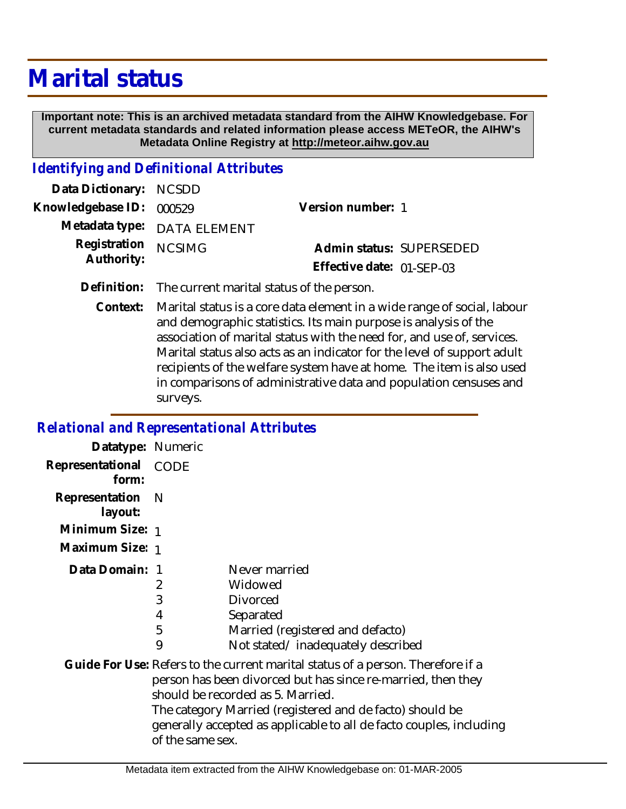## **Marital status**

 **Important note: This is an archived metadata standard from the AIHW Knowledgebase. For current metadata standards and related information please access METeOR, the AIHW's Metadata Online Registry at http://meteor.aihw.gov.au**

## *Identifying and Definitional Attributes*

| Data Dictionary: NCSDD            |                             |                           |  |
|-----------------------------------|-----------------------------|---------------------------|--|
| Knowledgebase ID: 000529          |                             | Version number: 1         |  |
|                                   | Metadata type: DATA ELEMENT |                           |  |
| Registration NCSIMG<br>Authority: |                             | Admin status: SUPERSEDED  |  |
|                                   |                             | Effective date: 01-SFP-03 |  |

**Definition:** The current marital status of the person.

Marital status is a core data element in a wide range of social, labour and demographic statistics. Its main purpose is analysis of the association of marital status with the need for, and use of, services. Marital status also acts as an indicator for the level of support adult recipients of the welfare system have at home. The item is also used in comparisons of administrative data and population censuses and surveys. **Context:**

## *Relational and Representational Attributes*

| Datatype: Numeric              |                       |                                                                                                                                                                                                                                                                                                                         |
|--------------------------------|-----------------------|-------------------------------------------------------------------------------------------------------------------------------------------------------------------------------------------------------------------------------------------------------------------------------------------------------------------------|
| Representational CODE<br>form: |                       |                                                                                                                                                                                                                                                                                                                         |
| Representation<br>layout:      | <sup>N</sup>          |                                                                                                                                                                                                                                                                                                                         |
| Minimum Size: 1                |                       |                                                                                                                                                                                                                                                                                                                         |
| Maximum Size: 1                |                       |                                                                                                                                                                                                                                                                                                                         |
| Data Domain: 1                 | 2<br>3<br>4<br>5<br>9 | Never married<br>Widowed<br><b>Divorced</b><br>Separated<br>Married (registered and defacto)<br>Not stated/inadequately described                                                                                                                                                                                       |
|                                | of the same sex.      | Guide For Use: Refers to the current marital status of a person. Therefore if a<br>person has been divorced but has since re-married, then they<br>should be recorded as 5. Married.<br>The category Married (registered and de facto) should be<br>generally accepted as applicable to all de facto couples, including |